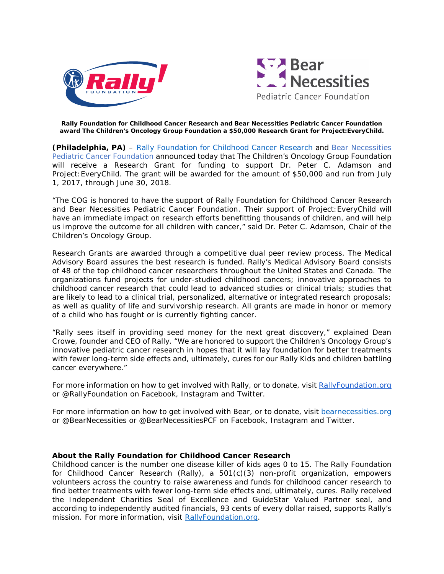



## **Rally Foundation for Childhood Cancer Research and Bear Necessities Pediatric Cancer Foundation award The Children's Oncology Group Foundation a \$50,000 Research Grant for Project:EveryChild.**

**(Philadelphia, PA)** – [Rally Foundation for Childhood Cancer Research](http://www.rallyfoundation.org/) and Bear Necessities Pediatric Cancer Foundation announced today that The Children's Oncology Group Foundation will receive a Research Grant for funding to support Dr. Peter C. Adamson and Project: EveryChild. The grant will be awarded for the amount of \$50,000 and run from July 1, 2017, through June 30, 2018.

"The COG is honored to have the support of Rally Foundation for Childhood Cancer Research and Bear Necessities Pediatric Cancer Foundation. Their support of Project:EveryChild will have an immediate impact on research efforts benefitting thousands of children, and will help us improve the outcome for all children with cancer," said Dr. Peter C. Adamson, Chair of the Children's Oncology Group.

Research Grants are awarded through a competitive dual peer review process. The Medical Advisory Board assures the best research is funded. Rally's Medical Advisory Board consists of 48 of the top childhood cancer researchers throughout the United States and Canada. The organizations fund projects for under-studied childhood cancers; innovative approaches to childhood cancer research that could lead to advanced studies or clinical trials; studies that are likely to lead to a clinical trial, personalized, alternative or integrated research proposals; as well as quality of life and survivorship research. All grants are made in honor or memory of a child who has fought or is currently fighting cancer.

"Rally sees itself in providing seed money for the next great discovery," explained Dean Crowe, founder and CEO of Rally. "We are honored to support the Children's Oncology Group's innovative pediatric cancer research in hopes that it will lay foundation for better treatments with fewer long-term side effects and, ultimately, cures for our Rally Kids and children battling cancer everywhere."

For more information on how to get involved with Rally, or to donate, visit RallyFoundation.org or @RallyFoundation on Facebook, Instagram and Twitter.

For more information on how to get involved with Bear, or to donate, visit [bearnecessities.org](http://www.thetruth365.org/) or @BearNecessities or @BearNecessitiesPCF on Facebook, Instagram and Twitter.

## *About the Rally Foundation for Childhood Cancer Research*

*Childhood cancer is the number one disease killer of kids ages 0 to 15. The Rally Foundation for Childhood Cancer Research (Rally), a 501(c)(3) non-profit organization, empowers volunteers across the country to raise awareness and funds for childhood cancer research to find better treatments with fewer long-term side effects and, ultimately, cures. Rally received the Independent Charities Seal of Excellence and GuideStar Valued Partner seal, and according to independently audited financials, 93 cents of every dollar raised, supports Rally's mission. For more information, visit [RallyFoundation.org.](http://rallyfoundation.org/)*